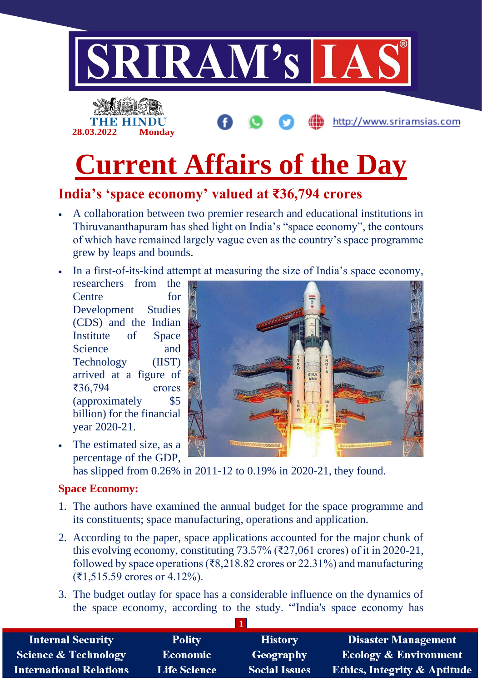

# **Current Affairs of the Day**

## **India's 'space economy' valued at ₹36,794 crores**

- A collaboration between two premier research and educational institutions in Thiruvananthapuram has shed light on India's "space economy", the contours of which have remained largely vague even as the country's space programme grew by leaps and bounds.
- In a first-of-its-kind attempt at measuring the size of India's space economy,

researchers from the Centre for Development Studies (CDS) and the Indian Institute of Space Science and Technology (IIST) arrived at a figure of ₹36,794 crores (approximately \$5 billion) for the financial year 2020-21.

• The estimated size, as a percentage of the GDP,

has slipped from 0.26% in 2011-12 to 0.19% in 2020-21, they found.

#### **Space Economy:**

- 1. The authors have examined the annual budget for the space programme and its constituents; space manufacturing, operations and application.
- 2. According to the paper, space applications accounted for the major chunk of this evolving economy, constituting  $73.57\%$  ( $\overline{\xi}27.061$  crores) of it in 2020-21, followed by space operations ( $\overline{38,218.82}$  crores or 22.31%) and manufacturing (₹1,515.59 crores or 4.12%).
- 3. The budget outlay for space has a considerable influence on the dynamics of the space economy, according to the study. "'India's space economy has

| <b>Internal Security</b>        | <b>Polity</b>       | <b>History</b>       | <b>Disaster Management</b>              |
|---------------------------------|---------------------|----------------------|-----------------------------------------|
| <b>Science &amp; Technology</b> | <b>Economic</b>     | <b>Geography</b>     | <b>Ecology &amp; Environment</b>        |
| <b>International Relations</b>  | <b>Life Science</b> | <b>Social Issues</b> | <b>Ethics, Integrity &amp; Aptitude</b> |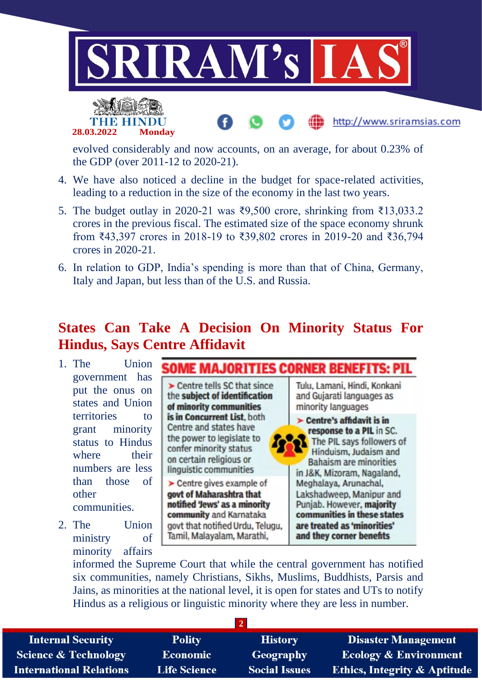



evolved considerably and now accounts, on an average, for about 0.23% of the GDP (over 2011-12 to 2020-21).

- 4. We have also noticed a decline in the budget for space-related activities, leading to a reduction in the size of the economy in the last two years.
- 5. The budget outlay in 2020-21 was ₹9,500 crore, shrinking from ₹13,033.2 crores in the previous fiscal. The estimated size of the space economy shrunk from ₹43,397 crores in 2018-19 to ₹39,802 crores in 2019-20 and ₹36,794 crores in 2020-21.
- 6. In relation to GDP, India's spending is more than that of China, Germany, Italy and Japan, but less than of the U.S. and Russia.

### **States Can Take A Decision On Minority Status For Hindus, Says Centre Affidavit**

- 1. The Union government has put the onus on states and Union territories to grant minority status to Hindus where their numbers are less than those of other communities.
- 2. The Union ministry of minority affairs

**MAJORITIES CORNER BENEFITS: PII** > Centre tells SC that since the subject of identification of minority communities is in Concurrent List. both Centre and states have the power to legislate to confer minority status on certain religious or linguistic communities  $\blacktriangleright$  Centre gives example of

govt of Maharashtra that notified 'Jews' as a minority community and Karnataka govt that notified Urdu, Telugu, Tamil, Malayalam, Marathi,

Tulu, Lamani, Hindi, Konkani and Gujarati languages as minority languages  $\blacktriangleright$  Centre's affidavit is in response to a PIL in SC. The PIL says followers of Hinduism, Judaism and

http://www.sriramsias.com

**Bahaism are minorities** in J&K, Mizoram, Nagaland, Meghalaya, Arunachal, Lakshadweep, Manipur and Punjab. However, majority communities in these states are treated as 'minorities' and they corner benefits

informed the Supreme Court that while the central government has notified six communities, namely Christians, Sikhs, Muslims, Buddhists, Parsis and Jains, as minorities at the national level, it is open for states and UTs to notify Hindus as a religious or linguistic minority where they are less in number.

**2**

**Internal Security Science & Technology International Relations** 

**Polity Economic Life Science** 

**History** Geography **Social Issues** 

**Disaster Management Ecology & Environment Ethics, Integrity & Aptitude**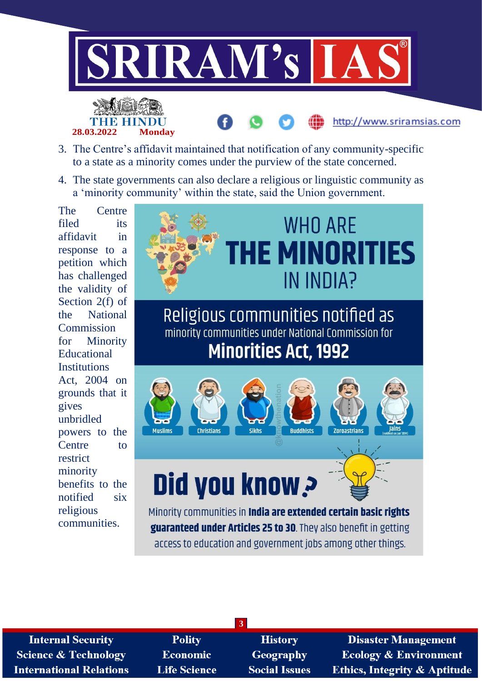





4. The state governments can also declare a religious or linguistic community as a 'minority community' within the state, said the Union government.

The Centre filed its affidavit in response to a petition which has challenged the validity of Section 2(f) of the National Commission for Minority Educational **Institutions** Act, 2004 on grounds that it gives unbridled powers to the Centre to restrict minority benefits to the notified six religious communities.



guaranteed under Articles 25 to 30. They also benefit in getting access to education and government jobs among other things.

| <b>Internal Security</b>        |
|---------------------------------|
| <b>Science &amp; Technology</b> |
| International Relations         |

**Polity** Economic **Life Science** 

**History** Geography **Social Issues** 

**3**

**Disaster Management Ecology & Environment Ethics, Integrity & Aptitude** 

http://www.sriramsias.com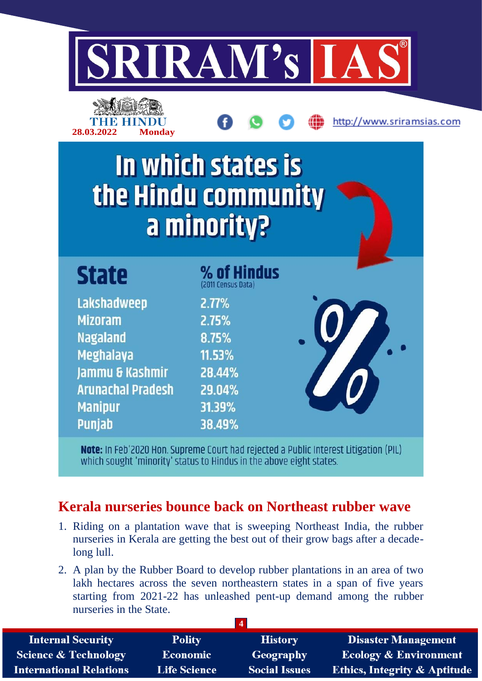

http://www.sriramsias.com

| <b>ANGKEYA</b><br>THE HINDU | 28.03.2022 | <b>Monday</b> |
|-----------------------------|------------|---------------|
|                             |            |               |
|                             |            |               |

In which states is the Hindu community a minority?

| <b>State</b>             | % of Hindus<br>(2011 Census Data) |  |
|--------------------------|-----------------------------------|--|
| Lakshadweep              | 2.77%                             |  |
| <b>Mizoram</b>           | 2.75%                             |  |
| <b>Nagaland</b>          | 8.75%                             |  |
| Meghalaya                | 11.53%                            |  |
| Jammu & Kashmir          | 28.44%                            |  |
| <b>Arunachal Pradesh</b> | 29.04%                            |  |
| <b>Manipur</b>           | 31.39%                            |  |
| <b>Punjab</b>            | 38.49%                            |  |

Note: In Feb'2020 Hon. Supreme Court had rejected a Public Interest Litigation (PIL) which sought 'minority' status to Hindus in the above eight states.

## **Kerala nurseries bounce back on Northeast rubber wave**

- 1. Riding on a plantation wave that is sweeping Northeast India, the rubber nurseries in Kerala are getting the best out of their grow bags after a decadelong lull.
- 2. A plan by the Rubber Board to develop rubber plantations in an area of two lakh hectares across the seven northeastern states in a span of five years starting from 2021-22 has unleashed pent-up demand among the rubber nurseries in the State.

| <b>Internal Security</b>        | <b>Polity</b>       | <b>History</b>       | <b>Disaster Management</b>              |
|---------------------------------|---------------------|----------------------|-----------------------------------------|
| <b>Science &amp; Technology</b> | <b>Economic</b>     | Geography            | <b>Ecology &amp; Environment</b>        |
| <b>International Relations</b>  | <b>Life Science</b> | <b>Social Issues</b> | <b>Ethics, Integrity &amp; Aptitude</b> |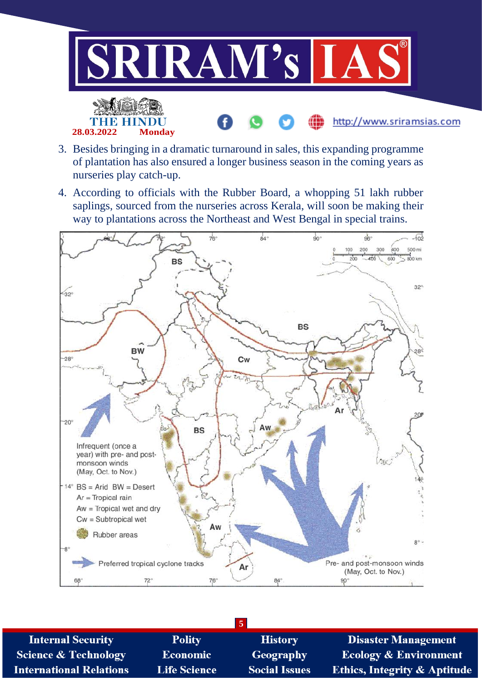

- 3. Besides bringing in a dramatic turnaround in sales, this expanding programme of plantation has also ensured a longer business season in the coming years as nurseries play catch-up.
- 4. According to officials with the Rubber Board, a whopping 51 lakh rubber saplings, sourced from the nurseries across Kerala, will soon be making their way to plantations across the Northeast and West Bengal in special trains.



| <b>Internal Security</b>        | <b>Polity</b>       | <b>History</b>       | <b>Disaster Management</b>              |
|---------------------------------|---------------------|----------------------|-----------------------------------------|
| <b>Science &amp; Technology</b> | <b>Economic</b>     | Geography            | <b>Ecology &amp; Environment</b>        |
| <b>International Relations</b>  | <b>Life Science</b> | <b>Social Issues</b> | <b>Ethics, Integrity &amp; Aptitude</b> |